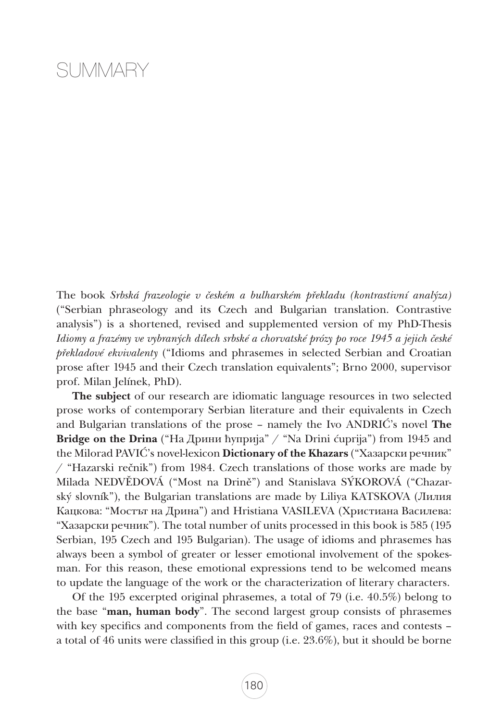## SUMMARY

The book *Srbská frazeologie v českém a bulharském překladu (kontrastivní analýza)* ("Serbian phraseology and its Czech and Bulgarian translation. Contrastive analysis") is a shortened, revised and supplemented version of my PhD-Thesis *Idiomy a frazémy ve vybraných dílech srbské a chorvatské prózy po roce 1945 a jejich české překladové ekvivalenty* ("Idioms and phrasemes in selected Serbian and Croatian prose after 1945 and their Czech translation equivalents"; Brno 2000, supervisor prof. Milan Jelínek, PhD).

The subject of our research are idiomatic language resources in two selected prose works of contemporary Serbian literature and their equivalents in Czech and Bulgarian translations of the prose – namely the Ivo ANDRIĆ's novel The Bridge on the Drina ("На Дрини ћуприја" / "Na Drini ćuprija") from 1945 and the Milorad PAVIĆ's novel-lexicon Dictionary of the Khazars ("Хазарски речник" / "Hazarski rečnik") from 1984. Czech translations of those works are made by Milada NEDVĚDOVÁ ("Most na Drině") and Stanislava SÝKOROVÁ ("Chazarský slovník"), the Bulgarian translations are made by Liliya KATSKOVA (Лилия Кацкова: "Мостът на Дрина") and Hristiana VASILEVA (Христиана Василева: "Хазарски речник"). The total number of units processed in this book is 585 (195 Serbian, 195 Czech and 195 Bulgarian). The usage of idioms and phrasemes has always been a symbol of greater or lesser emotional involvement of the spokesman. For this reason, these emotional expressions tend to be welcomed means to update the language of the work or the characterization of literary characters.

Of the 195 excerpted original phrasemes, a total of 79 (i.e. 40.5%) belong to the base "man, human body". The second largest group consists of phrasemes with key specifics and components from the field of games, races and contests – a total of 46 units were classified in this group (i.e. 23.6%), but it should be borne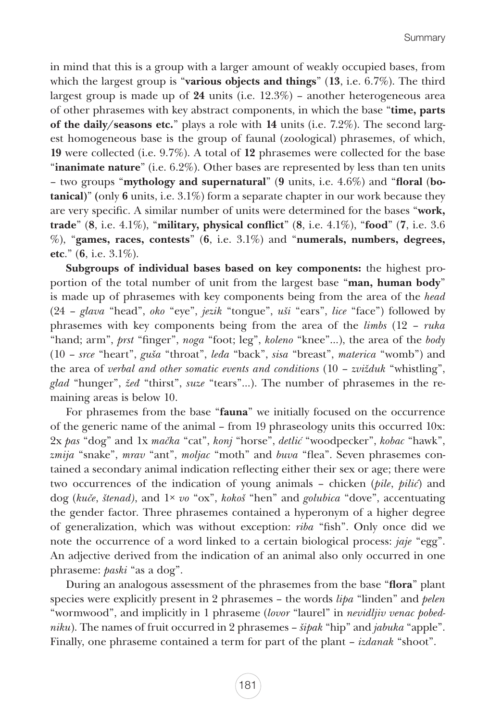in mind that this is a group with a larger amount of weakly occupied bases, from which the largest group is "various objects and things" (13, i.e. 6.7%). The third largest group is made up of 24 units (i.e. 12.3%) – another heterogeneous area of other phrasemes with key abstract components, in which the base "time, parts of the daily/seasons etc." plays a role with 14 units (i.e. 7.2%). The second largest homogeneous base is the group of faunal (zoological) phrasemes, of which, 19 were collected (i.e. 9.7%). A total of 12 phrasemes were collected for the base "**inanimate nature**" (i.e.  $6.2\%$ ). Other bases are represented by less than ten units – two groups "mythology and supernatural" (9 units, i.e. 4.6%) and "floral (botanical)" (only 6 units, i.e. 3.1%) form a separate chapter in our work because they are very specific. A similar number of units were determined for the bases "work, trade"  $(8, i.e. 4.1\%)$ , "military, physical conflict"  $(8, i.e. 4.1\%)$ , "food"  $(7, i.e. 3.6)$  $\%$ ), "games, races, contests" (6, i.e. 3.1%) and "numerals, numbers, degrees, etc." (6, i.e. 3.1%).

Subgroups of individual bases based on key components: the highest proportion of the total number of unit from the largest base "man, human body" is made up of phrasemes with key components being from the area of the *head*  (24 – *glava* "head", *oko* "eye", *jezik* "tongue", *uši* "ears", *lice* "face") followed by phrasemes with key components being from the area of the *limbs* (12 – *ruka* "hand; arm", *prst* "finger", *noga* "foot; leg", *koleno* "knee"...), the area of the *body* (10 – *srce* "heart", *guša* "throat", *leđa* "back", *sisa* "breast", *materica* "womb") and the area of *verbal and other somatic events and conditions* (10 – *zvižduk* "whistling", *glad* "hunger", *žeđ* "thirst", *suze* "tears"...). The number of phrasemes in the remaining areas is below 10.

For phrasemes from the base "fauna" we initially focused on the occurrence of the generic name of the animal – from 19 phraseology units this occurred 10x: 2x *pas* "dog" and 1x *mačka* "cat", *konj* "horse", *detlić* "woodpecker", *kobac* "hawk", *zmija* "snake", *mrav* "ant", *moljac* "moth" and *buva* "flea". Seven phrasemes contained a secondary animal indication reflecting either their sex or age; there were two occurrences of the indication of young animals – chicken (*pile*, *pilić*) and dog (*kuče*, *štenad)*, and 1× *vo* "ox", *kokoš* "hen" and *golubica* "dove", accentuating the gender factor. Three phrasemes contained a hyperonym of a higher degree of generalization, which was without exception: *riba* "fish". Only once did we note the occurrence of a word linked to a certain biological process: *jaje* "egg". An adjective derived from the indication of an animal also only occurred in one phraseme: *paski* "as a dog".

During an analogous assessment of the phrasemes from the base "flora" plant species were explicitly present in 2 phrasemes – the words *lipa* "linden" and *pelen* "wormwood", and implicitly in 1 phraseme (*lovor* "laurel" in *nevidljiv venac pobedniku*). The names of fruit occurred in 2 phrasemes – *šipak* "hip" and *jabuka* "apple". Finally, one phraseme contained a term for part of the plant – *izdanak* "shoot".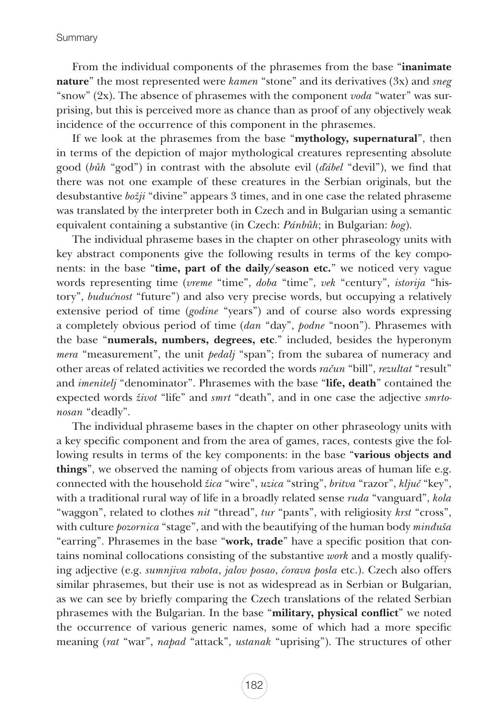From the individual components of the phrasemes from the base "**inanimate** nature" the most represented were *kamen* "stone" and its derivatives (3x) and *sneg* "snow" (2x). The absence of phrasemes with the component *voda* "water" was surprising, but this is perceived more as chance than as proof of any objectively weak incidence of the occurrence of this component in the phrasemes.

If we look at the phrasemes from the base "mythology, supernatural", then in terms of the depiction of major mythological creatures representing absolute good (*bůh* "god") in contrast with the absolute evil (*ďábel* "devil"), we find that there was not one example of these creatures in the Serbian originals, but the desubstantive *božji* "divine" appears 3 times, and in one case the related phraseme was translated by the interpreter both in Czech and in Bulgarian using a semantic equivalent containing a substantive (in Czech: *Pánbůh*; in Bulgarian: *bog*).

The individual phraseme bases in the chapter on other phraseology units with key abstract components give the following results in terms of the key components: in the base "time, part of the daily/season etc." we noticed very vague words representing time (*vreme* "time", *doba* "time", *vek* "century", *istorija* "history", *budućnost* "future") and also very precise words, but occupying a relatively extensive period of time (*godine* "years") and of course also words expressing a completely obvious period of time (*dan* "day", *podne* "noon"). Phrasemes with the base "numerals, numbers, degrees, etc." included, besides the hyperonym *mera* "measurement", the unit *pedalj* "span"; from the subarea of numeracy and other areas of related activities we recorded the words *račun* "bill", *rezultat* "result" and *imenitelj* "denominator". Phrasemes with the base "life, death" contained the expected words *život* "life" and *smrt* "death", and in one case the adjective *smrtonosan* "deadly".

The individual phraseme bases in the chapter on other phraseology units with a key specific component and from the area of games, races, contests give the following results in terms of the key components: in the base "various objects and things", we observed the naming of objects from various areas of human life e.g. connected with the household *žica* "wire", *uzica* "string", *britva* "razor", *ključ* "key", with a traditional rural way of life in a broadly related sense *ruda* "vanguard", *kola* "waggon", related to clothes *nit* "thread", *tur* "pants", with religiosity *krst* "cross", with culture *pozornica* "stage", and with the beautifying of the human body *minđuša* "earring". Phrasemes in the base "work, trade" have a specific position that contains nominal collocations consisting of the substantive *work* and a mostly qualifying adjective (e.g. *sumnjiva rabota*, *jalov posao*, *ćorava posla* etc.). Czech also offers similar phrasemes, but their use is not as widespread as in Serbian or Bulgarian, as we can see by briefly comparing the Czech translations of the related Serbian phrasemes with the Bulgarian. In the base "**military, physical conflict**" we noted the occurrence of various generic names, some of which had a more specific meaning (*rat* "war", *napad* "attack", *ustanak* "uprising"). The structures of other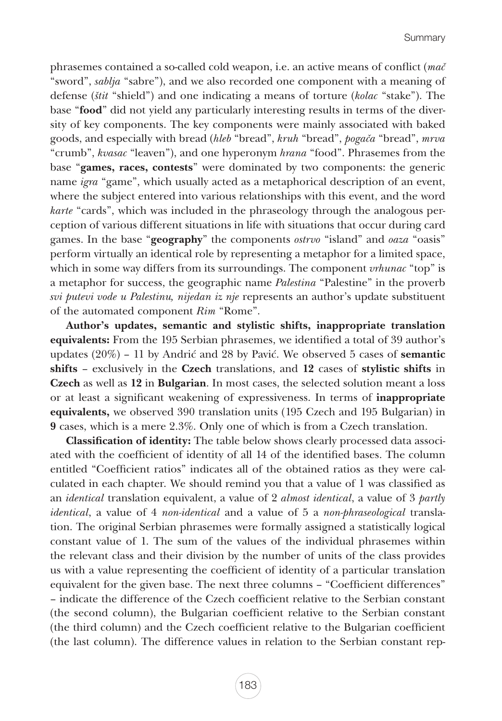phrasemes contained a so-called cold weapon, i.e. an active means of conflict (*mač* "sword", *sablja* "sabre"), and we also recorded one component with a meaning of defense (*štit* "shield") and one indicating a means of torture (*kolac* "stake"). The base "food" did not yield any particularly interesting results in terms of the diversity of key components. The key components were mainly associated with baked goods, and especially with bread (*hleb* "bread", *kruh* "bread", *pogača* "bread", *mrva* "crumb", *kvasac* "leaven"), and one hyperonym *hrana* "food". Phrasemes from the base "games, races, contests" were dominated by two components: the generic name *igra* "game", which usually acted as a metaphorical description of an event, where the subject entered into various relationships with this event, and the word *karte* "cards", which was included in the phraseology through the analogous perception of various different situations in life with situations that occur during card games. In the base "geography" the components *ostrvo* "island" and *oaza* "oasis" perform virtually an identical role by representing a metaphor for a limited space, which in some way differs from its surroundings. The component *vrhunac* "top" is a metaphor for success, the geographic name *Palestina* "Palestine" in the proverb *svi putevi vode u Palestinu, nijedan iz nje* represents an author's update substituent of the automated component *Rim* "Rome".

Author's updates, semantic and stylistic shifts, inappropriate translation equivalents: From the 195 Serbian phrasemes, we identified a total of 39 author's updates  $(20\%)$  – 11 by Andrić and 28 by Pavić. We observed 5 cases of **semantic** shifts – exclusively in the Czech translations, and 12 cases of stylistic shifts in Czech as well as 12 in Bulgarian. In most cases, the selected solution meant a loss or at least a significant weakening of expressiveness. In terms of inappropriate equivalents, we observed 390 translation units (195 Czech and 195 Bulgarian) in 9 cases, which is a mere 2.3%. Only one of which is from a Czech translation.

Classification of identity: The table below shows clearly processed data associated with the coefficient of identity of all 14 of the identified bases. The column entitled "Coefficient ratios" indicates all of the obtained ratios as they were calculated in each chapter. We should remind you that a value of 1 was classified as an *identical* translation equivalent, a value of 2 *almost identical*, a value of 3 *partly identical*, a value of 4 *non-identical* and a value of 5 a *non-phraseological* translation. The original Serbian phrasemes were formally assigned a statistically logical constant value of 1. The sum of the values of the individual phrasemes within the relevant class and their division by the number of units of the class provides us with a value representing the coefficient of identity of a particular translation equivalent for the given base. The next three columns – "Coefficient differences" – indicate the difference of the Czech coefficient relative to the Serbian constant (the second column), the Bulgarian coefficient relative to the Serbian constant (the third column) and the Czech coefficient relative to the Bulgarian coefficient (the last column). The difference values in relation to the Serbian constant rep-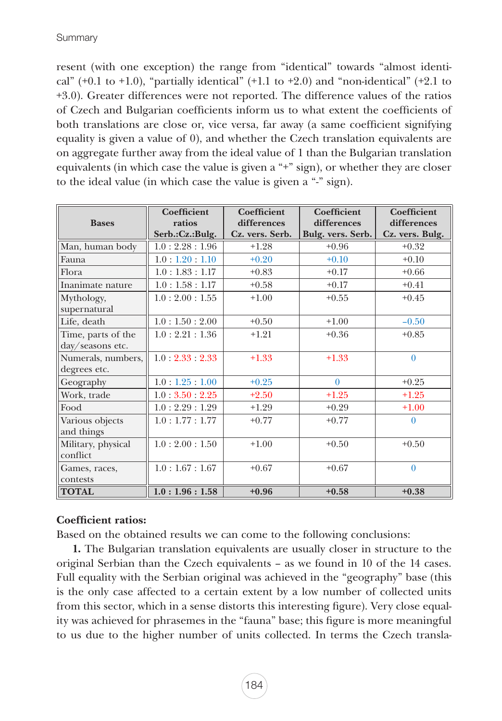resent (with one exception) the range from "identical" towards "almost identical" (+0.1 to +1.0), "partially identical" (+1.1 to +2.0) and "non-identical" (+2.1 to +3.0). Greater differences were not reported. The difference values of the ratios of Czech and Bulgarian coefficients inform us to what extent the coefficients of both translations are close or, vice versa, far away (a same coefficient signifying equality is given a value of 0), and whether the Czech translation equivalents are on aggregate further away from the ideal value of 1 than the Bulgarian translation equivalents (in which case the value is given a "+" sign), or whether they are closer to the ideal value (in which case the value is given a "-" sign).

|                    | <b>Coefficient</b>          | <b>Coefficient</b> | <b>Coefficient</b> | <b>Coefficient</b> |
|--------------------|-----------------------------|--------------------|--------------------|--------------------|
| <b>Bases</b>       | ratios                      | differences        | differences        | differences        |
|                    | Serb.:Cz.:Bulg.             | Cz. vers. Serb.    | Bulg. vers. Serb.  | Cz. vers. Bulg.    |
| Man, human body    | 1.0:2.28:1.96               | $+1.28$            | $+0.96$            | $+0.32$            |
| Fauna              | 1.0:1.20:1.10               | $+0.20$            | $+0.10$            | $+0.10$            |
| Flora              | 1.0:1.83:1.17               | $+0.83$            | $+0.17$            | $+0.66$            |
| Inanimate nature   | 1.0:1.58:1.17               | $+0.58$            | $+0.17$            | $+0.41$            |
| Mythology,         | 1.0:2.00:1.55               | $+1.00$            | $+0.55$            | $+0.45$            |
| supernatural       |                             |                    |                    |                    |
| Life, death        | 1.0:1.50:2.00               | $+0.50$            | $+1.00$            | $-0.50$            |
| Time, parts of the | 1.0:2.21:1.36               | $+1.21$            | $+0.36$            | $+0.85$            |
| day/seasons etc.   |                             |                    |                    |                    |
| Numerals, numbers, | $1.0 \cdot 2.33 \cdot 2.33$ | $+1.33$            | $+1.33$            | $\theta$           |
| degrees etc.       |                             |                    |                    |                    |
| Geography          | 1.0:1.25:1.00               | $+0.25$            | $\Omega$           | $+0.25$            |
| Work, trade        | 1.0:3.50:2.25               | $+2.50$            | $+1.25$            | $+1.25$            |
| Food               | 1.0:2.29:1.29               | $+1.29$            | $+0.29$            | $+1.00$            |
| Various objects    | 1.0:1.77:1.77               | $+0.77$            | $+0.77$            | $\theta$           |
| and things         |                             |                    |                    |                    |
| Military, physical | 1.0:2.00:1.50               | $+1.00$            | $+0.50$            | $+0.50$            |
| conflict           |                             |                    |                    |                    |
| Games, races,      | 1.0:1.67:1.67               | $+0.67$            | $+0.67$            | $\theta$           |
| contests           |                             |                    |                    |                    |
| <b>TOTAL</b>       | 1.0:1.96:1.58               | $+0.96$            | $+0.58$            | $+0.38$            |

## Coefficient ratios:

Based on the obtained results we can come to the following conclusions:

1. The Bulgarian translation equivalents are usually closer in structure to the original Serbian than the Czech equivalents – as we found in 10 of the 14 cases. Full equality with the Serbian original was achieved in the "geography" base (this is the only case affected to a certain extent by a low number of collected units from this sector, which in a sense distorts this interesting figure). Very close equality was achieved for phrasemes in the "fauna" base; this figure is more meaningful to us due to the higher number of units collected. In terms the Czech transla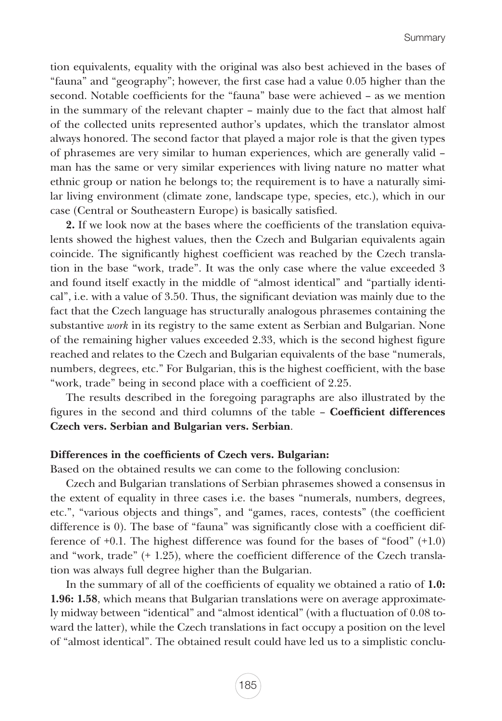tion equivalents, equality with the original was also best achieved in the bases of "fauna" and "geography"; however, the first case had a value 0.05 higher than the second. Notable coefficients for the "fauna" base were achieved – as we mention in the summary of the relevant chapter – mainly due to the fact that almost half of the collected units represented author's updates, which the translator almost always honored. The second factor that played a major role is that the given types of phrasemes are very similar to human experiences, which are generally valid – man has the same or very similar experiences with living nature no matter what ethnic group or nation he belongs to; the requirement is to have a naturally similar living environment (climate zone, landscape type, species, etc.), which in our case (Central or Southeastern Europe) is basically satisfied.

2. If we look now at the bases where the coefficients of the translation equivalents showed the highest values, then the Czech and Bulgarian equivalents again coincide. The significantly highest coefficient was reached by the Czech translation in the base "work, trade". It was the only case where the value exceeded 3 and found itself exactly in the middle of "almost identical" and "partially identical", i.e. with a value of 3.50. Thus, the significant deviation was mainly due to the fact that the Czech language has structurally analogous phrasemes containing the substantive *work* in its registry to the same extent as Serbian and Bulgarian. None of the remaining higher values exceeded 2.33, which is the second highest figure reached and relates to the Czech and Bulgarian equivalents of the base "numerals, numbers, degrees, etc." For Bulgarian, this is the highest coefficient, with the base "work, trade" being in second place with a coefficient of 2.25.

The results described in the foregoing paragraphs are also illustrated by the figures in the second and third columns of the table – Coefficient differences Czech vers. Serbian and Bulgarian vers. Serbian.

## Differences in the coefficients of Czech vers. Bulgarian:

Based on the obtained results we can come to the following conclusion:

Czech and Bulgarian translations of Serbian phrasemes showed a consensus in the extent of equality in three cases i.e. the bases "numerals, numbers, degrees, etc.", "various objects and things", and "games, races, contests" (the coefficient difference is 0). The base of "fauna" was significantly close with a coefficient difference of +0.1. The highest difference was found for the bases of "food" (+1.0) and "work, trade" (+ 1.25), where the coefficient difference of the Czech translation was always full degree higher than the Bulgarian.

In the summary of all of the coefficients of equality we obtained a ratio of 1.0: 1.96: 1.58, which means that Bulgarian translations were on average approximately midway between "identical" and "almost identical" (with a fluctuation of 0.08 toward the latter), while the Czech translations in fact occupy a position on the level of "almost identical". The obtained result could have led us to a simplistic conclu